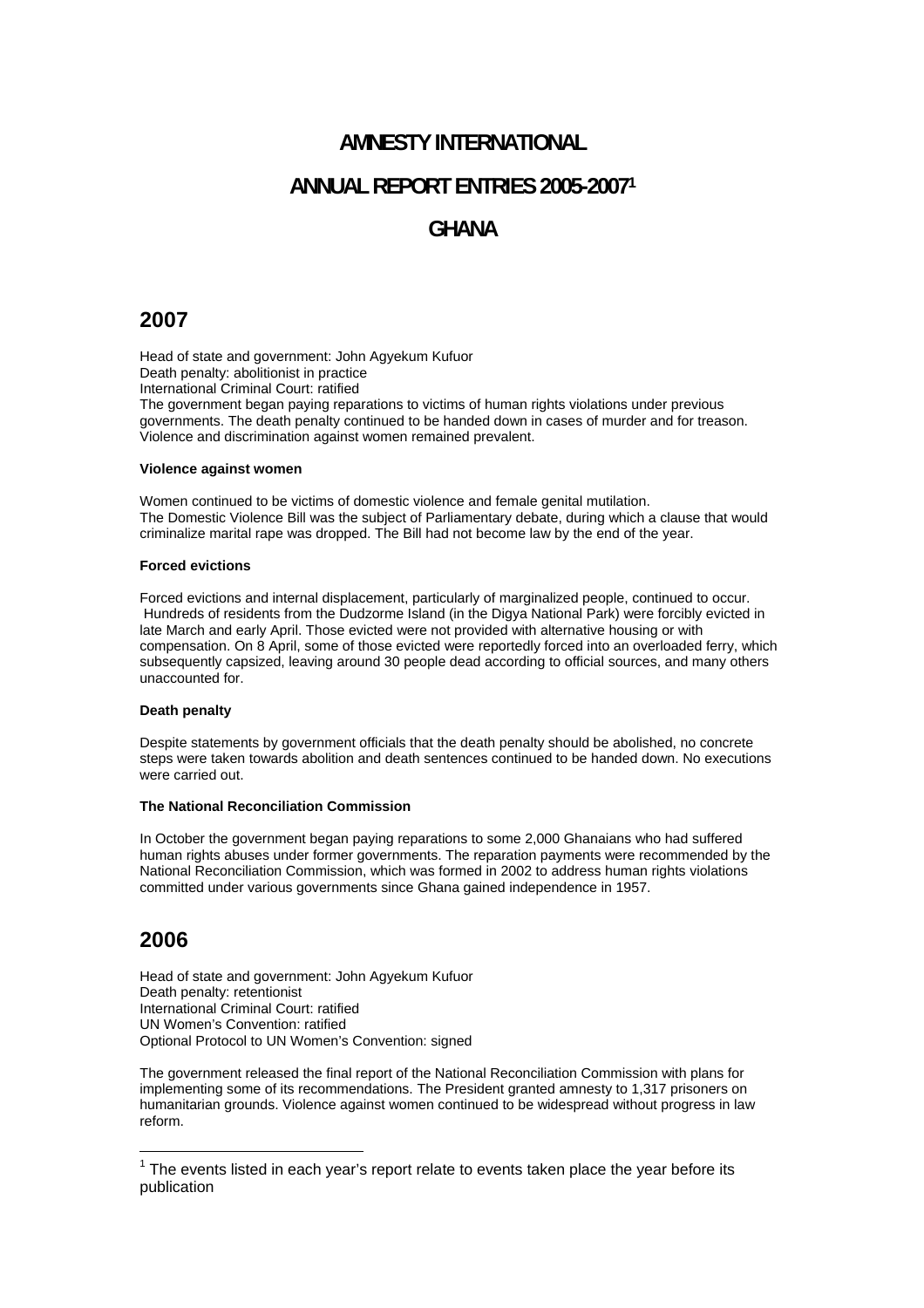## **AMNESTY INTERNATIONAL**

# **ANNUAL REPORT ENTRIES 2005-20071**

## **GHANA**

### **2007**

Head of state and government: John Agyekum Kufuor Death penalty: abolitionist in practice International Criminal Court: ratified The government began paying reparations to victims of human rights violations under previous governments. The death penalty continued to be handed down in cases of murder and for treason. Violence and discrimination against women remained prevalent.

### **Violence against women**

Women continued to be victims of domestic violence and female genital mutilation. The Domestic Violence Bill was the subject of Parliamentary debate, during which a clause that would criminalize marital rape was dropped. The Bill had not become law by the end of the year.

### **Forced evictions**

Forced evictions and internal displacement, particularly of marginalized people, continued to occur. Hundreds of residents from the Dudzorme Island (in the Digya National Park) were forcibly evicted in late March and early April. Those evicted were not provided with alternative housing or with compensation. On 8 April, some of those evicted were reportedly forced into an overloaded ferry, which subsequently capsized, leaving around 30 people dead according to official sources, and many others unaccounted for.

### **Death penalty**

Despite statements by government officials that the death penalty should be abolished, no concrete steps were taken towards abolition and death sentences continued to be handed down. No executions were carried out.

### **The National Reconciliation Commission**

In October the government began paying reparations to some 2,000 Ghanaians who had suffered human rights abuses under former governments. The reparation payments were recommended by the National Reconciliation Commission, which was formed in 2002 to address human rights violations committed under various governments since Ghana gained independence in 1957.

### **2006**

 $\overline{a}$ 

Head of state and government: John Agyekum Kufuor Death penalty: retentionist International Criminal Court: ratified UN Women's Convention: ratified Optional Protocol to UN Women's Convention: signed

The government released the final report of the National Reconciliation Commission with plans for implementing some of its recommendations. The President granted amnesty to 1,317 prisoners on humanitarian grounds. Violence against women continued to be widespread without progress in law reform.

 $1$  The events listed in each year's report relate to events taken place the year before its publication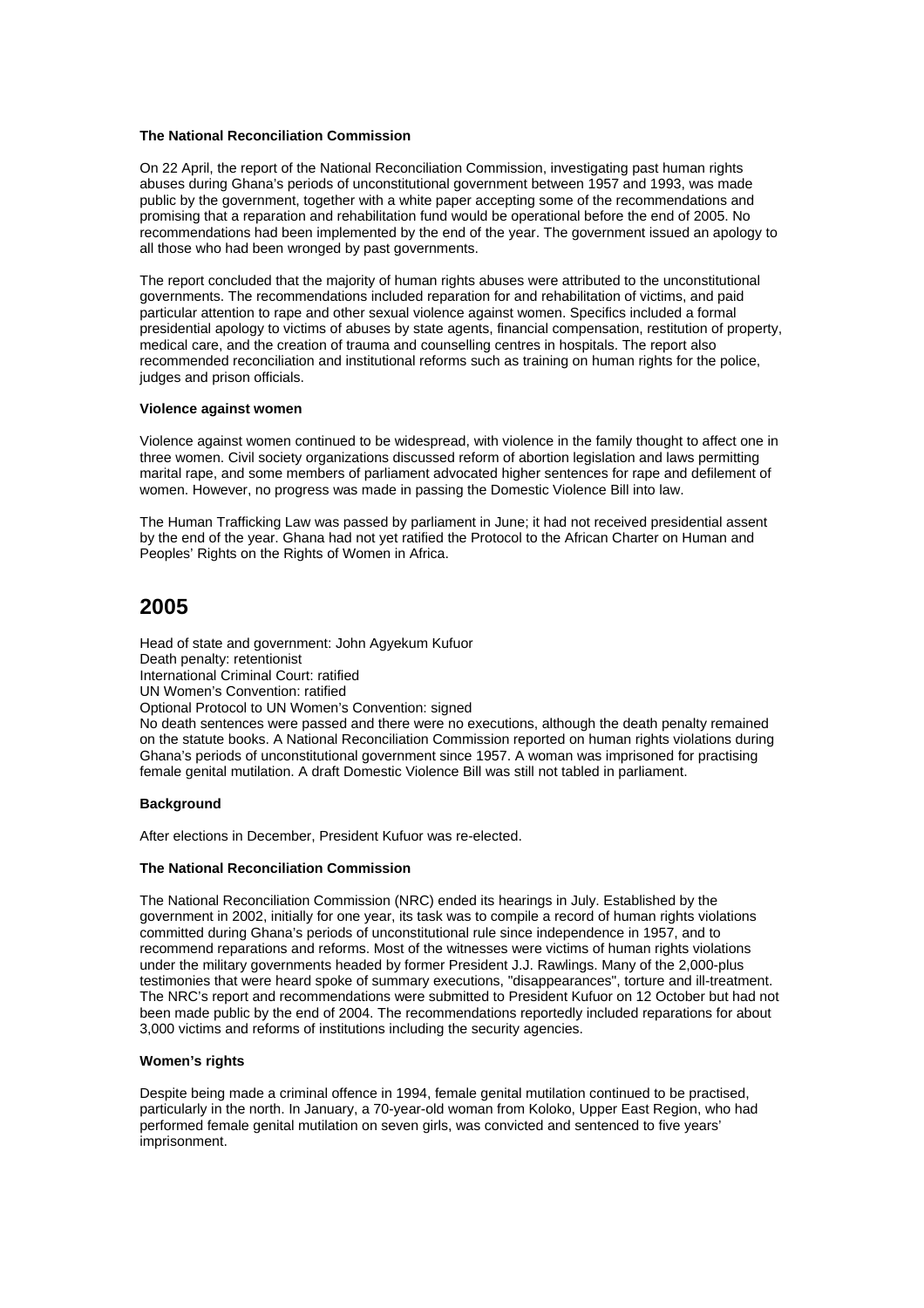#### **The National Reconciliation Commission**

On 22 April, the report of the National Reconciliation Commission, investigating past human rights abuses during Ghana's periods of unconstitutional government between 1957 and 1993, was made public by the government, together with a white paper accepting some of the recommendations and promising that a reparation and rehabilitation fund would be operational before the end of 2005. No recommendations had been implemented by the end of the year. The government issued an apology to all those who had been wronged by past governments.

The report concluded that the majority of human rights abuses were attributed to the unconstitutional governments. The recommendations included reparation for and rehabilitation of victims, and paid particular attention to rape and other sexual violence against women. Specifics included a formal presidential apology to victims of abuses by state agents, financial compensation, restitution of property, medical care, and the creation of trauma and counselling centres in hospitals. The report also recommended reconciliation and institutional reforms such as training on human rights for the police, judges and prison officials.

#### **Violence against women**

Violence against women continued to be widespread, with violence in the family thought to affect one in three women. Civil society organizations discussed reform of abortion legislation and laws permitting marital rape, and some members of parliament advocated higher sentences for rape and defilement of women. However, no progress was made in passing the Domestic Violence Bill into law.

The Human Trafficking Law was passed by parliament in June; it had not received presidential assent by the end of the year. Ghana had not yet ratified the Protocol to the African Charter on Human and Peoples' Rights on the Rights of Women in Africa.

### **2005**

Head of state and government: John Agyekum Kufuor Death penalty: retentionist International Criminal Court: ratified UN Women's Convention: ratified Optional Protocol to UN Women's Convention: signed No death sentences were passed and there were no executions, although the death penalty remained on the statute books. A National Reconciliation Commission reported on human rights violations during Ghana's periods of unconstitutional government since 1957. A woman was imprisoned for practising female genital mutilation. A draft Domestic Violence Bill was still not tabled in parliament.

### **Background**

After elections in December, President Kufuor was re-elected.

### **The National Reconciliation Commission**

The National Reconciliation Commission (NRC) ended its hearings in July. Established by the government in 2002, initially for one year, its task was to compile a record of human rights violations committed during Ghana's periods of unconstitutional rule since independence in 1957, and to recommend reparations and reforms. Most of the witnesses were victims of human rights violations under the military governments headed by former President J.J. Rawlings. Many of the 2,000-plus testimonies that were heard spoke of summary executions, "disappearances", torture and ill-treatment. The NRC's report and recommendations were submitted to President Kufuor on 12 October but had not been made public by the end of 2004. The recommendations reportedly included reparations for about 3,000 victims and reforms of institutions including the security agencies.

### **Women's rights**

Despite being made a criminal offence in 1994, female genital mutilation continued to be practised, particularly in the north. In January, a 70-year-old woman from Koloko, Upper East Region, who had performed female genital mutilation on seven girls, was convicted and sentenced to five years' imprisonment.